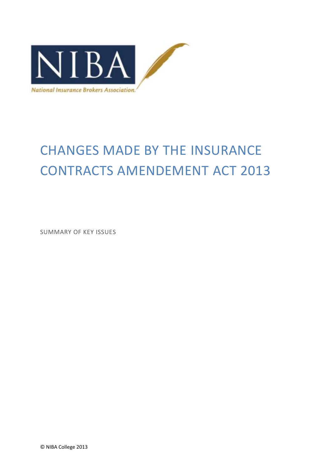

# CHANGES MADE BY THE INSURANCE CONTRACTS AMENDEMENT ACT 2013

SUMMARY OF KEY ISSUES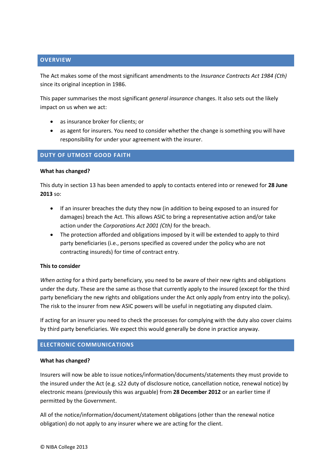# **OVERVIEW**

The Act makes some of the most significant amendments to the *Insurance Contracts Act 1984 (Cth)* since its original inception in 1986.

This paper summarises the most significant *general insurance* changes. It also sets out the likely impact on us when we act:

- as insurance broker for clients; or
- as agent for insurers. You need to consider whether the change is something you will have responsibility for under your agreement with the insurer.

# **DUTY OF UTMOST GOOD FAITH**

#### **What has changed?**

This duty in section 13 has been amended to apply to contacts entered into or renewed for **28 June 2013** so:

- If an insurer breaches the duty they now (in addition to being exposed to an insured for damages) breach the Act. This allows ASIC to bring a representative action and/or take action under the *Corporations Act 2001 (Cth)* for the breach.
- The protection afforded and obligations imposed by it will be extended to apply to third party beneficiaries (i.e., persons specified as covered under the policy who are not contracting insureds) for time of contract entry.

# **This to consider**

*When acting* for a third party beneficiary, you need to be aware of their new rights and obligations under the duty. These are the same as those that currently apply to the insured (except for the third party beneficiary the new rights and obligations under the Act only apply from entry into the policy). The risk to the insurer from new ASIC powers will be useful in negotiating any disputed claim.

If acting for an insurer you need to check the processes for complying with the duty also cover claims by third party beneficiaries. We expect this would generally be done in practice anyway.

# **ELECTRONIC COMMUNICATIONS**

# **What has changed?**

Insurers will now be able to issue notices/information/documents/statements they must provide to the insured under the Act (e.g. s22 duty of disclosure notice, cancellation notice, renewal notice) by electronic means (previously this was arguable) from **28 December 2012** or an earlier time if permitted by the Government.

All of the notice/information/document/statement obligations (other than the renewal notice obligation) do not apply to any insurer where we are acting for the client.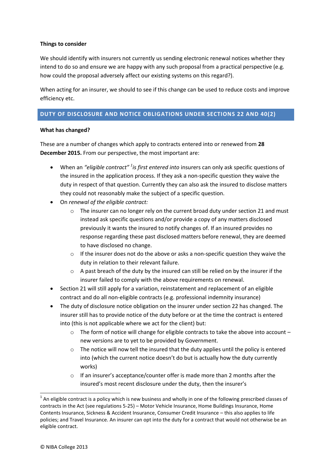# **Things to consider**

We should identify with insurers not currently us sending electronic renewal notices whether they intend to do so and ensure we are happy with any such proposal from a practical perspective (e.g. how could the proposal adversely affect our existing systems on this regard?).

When acting for an insurer, we should to see if this change can be used to reduce costs and improve efficiency etc.

# **DUTY OF DISCLOSURE AND NOTICE OBLIGATIONS UNDER SECTIONS 22 AND 40(2)**

# **What has changed?**

These are a number of changes which apply to contracts entered into or renewed from **28 December 2015.** From our perspective, the most important are:

- When an *"eligible contract" <sup>1</sup> is first entered into* insurers can only ask specific questions of the insured in the application process. If they ask a non-specific question they waive the duty in respect of that question. Currently they can also ask the insured to disclose matters they could not reasonably make the subject of a specific question.
- On *renewal of the eligible contract:*
	- $\circ$  The insurer can no longer rely on the current broad duty under section 21 and must instead ask specific questions and/or provide a copy of any matters disclosed previously it wants the insured to notify changes of. If an insured provides no response regarding these past disclosed matters before renewal, they are deemed to have disclosed no change.
	- $\circ$  If the insurer does not do the above or asks a non-specific question they waive the duty in relation to their relevant failure.
	- o A past breach of the duty by the insured can still be relied on by the insurer if the insurer failed to comply with the above requirements on renewal.
- Section 21 will still apply for a variation, reinstatement and replacement of an eligible contract and do all non-eligible contracts (e.g. professional indemnity insurance)
- The duty of disclosure notice obligation on the insurer under section 22 has changed. The insurer still has to provide notice of the duty before or at the time the contract is entered into (this is not applicable where we act for the client) but:
	- $\circ$  The form of notice will change for eligible contracts to take the above into account new versions are to yet to be provided by Government.
	- o The notice will now tell the insured that the duty applies until the policy is entered into (which the current notice doesn't do but is actually how the duty currently works)
	- o If an insurer's acceptance/counter offer is made more than 2 months after the insured's most recent disclosure under the duty, then the insurer's

**.** 

 $1$  An eligible contract is a policy which is new business and wholly in one of the following prescribed classes of contracts in the Act (see regulations 5-25) – Motor Vehicle Insurance, Home Buildings Insurance, Home Contents Insurance, Sickness & Accident Insurance, Consumer Credit Insurance – this also applies to life policies; and Travel Insurance. An insurer can opt into the duty for a contract that would not otherwise be an eligible contract.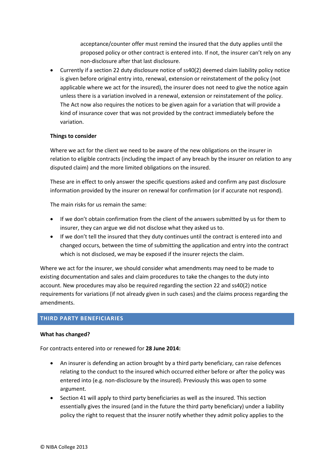acceptance/counter offer must remind the insured that the duty applies until the proposed policy or other contract is entered into. If not, the insurer can't rely on any non-disclosure after that last disclosure.

 Currently if a section 22 duty disclosure notice of ss40(2) deemed claim liability policy notice is given before original entry into, renewal, extension or reinstatement of the policy (not applicable where we act for the insured), the insurer does not need to give the notice again unless there is a variation involved in a renewal, extension or reinstatement of the policy. The Act now also requires the notices to be given again for a variation that will provide a kind of insurance cover that was not provided by the contract immediately before the variation.

# **Things to consider**

Where we act for the client we need to be aware of the new obligations on the insurer in relation to eligible contracts (including the impact of any breach by the insurer on relation to any disputed claim) and the more limited obligations on the insured.

These are in effect to only answer the specific questions asked and confirm any past disclosure information provided by the insurer on renewal for confirmation (or if accurate not respond).

The main risks for us remain the same:

- If we don't obtain confirmation from the client of the answers submitted by us for them to insurer, they can argue we did not disclose what they asked us to.
- If we don't tell the insured that they duty continues until the contract is entered into and changed occurs, between the time of submitting the application and entry into the contract which is not disclosed, we may be exposed if the insurer rejects the claim.

Where we act for the insurer, we should consider what amendments may need to be made to existing documentation and sales and claim procedures to take the changes to the duty into account. New procedures may also be required regarding the section 22 and ss40(2) notice requirements for variations (if not already given in such cases) and the claims process regarding the amendments.

# **THIRD PARTY BENEFICIARIES**

# **What has changed?**

For contracts entered into or renewed for **28 June 2014:** 

- An insurer is defending an action brought by a third party beneficiary, can raise defences relating to the conduct to the insured which occurred either before or after the policy was entered into (e.g. non-disclosure by the insured). Previously this was open to some argument.
- Section 41 will apply to third party beneficiaries as well as the insured. This section essentially gives the insured (and in the future the third party beneficiary) under a liability policy the right to request that the insurer notify whether they admit policy applies to the